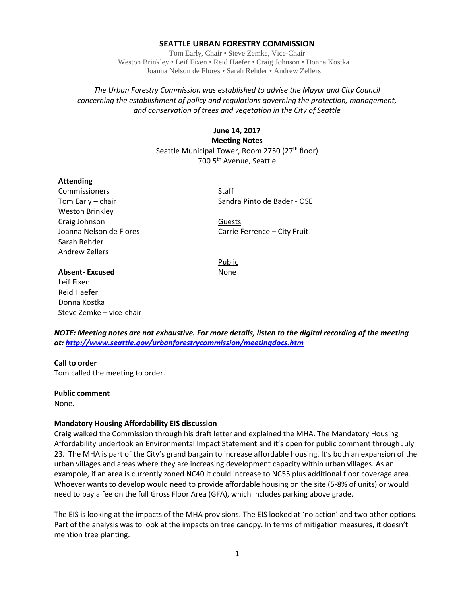### **SEATTLE URBAN FORESTRY COMMISSION**

Tom Early, Chair • Steve Zemke, Vice-Chair Weston Brinkley • Leif Fixen • Reid Haefer • Craig Johnson • Donna Kostka Joanna Nelson de Flores • Sarah Rehder • Andrew Zellers

## *The Urban Forestry Commission was established to advise the Mayor and City Council concerning the establishment of policy and regulations governing the protection, management, and conservation of trees and vegetation in the City of Seattle*

# **June 14, 2017 Meeting Notes** Seattle Municipal Tower, Room 2750 (27<sup>th</sup> floor) 700 5th Avenue, Seattle

#### **Attending**

Commissioners Staff Weston Brinkley Craig Johnson Guests Sarah Rehder Andrew Zellers

Tom Early – chair Sandra Pinto de Bader - OSE

Joanna Nelson de Flores Carrie Ferrence – City Fruit

Public

# **Absent-Excused** None Leif Fixen Reid Haefer Donna Kostka Steve Zemke – vice-chair

*NOTE: Meeting notes are not exhaustive. For more details, listen to the digital recording of the meeting at:<http://www.seattle.gov/urbanforestrycommission/meetingdocs.htm>*

## **Call to order**

Tom called the meeting to order.

#### **Public comment**

None.

## **Mandatory Housing Affordability EIS discussion**

Craig walked the Commission through his draft letter and explained the MHA. The Mandatory Housing Affordability undertook an Environmental Impact Statement and it's open for public comment through July 23. The MHA is part of the City's grand bargain to increase affordable housing. It's both an expansion of the urban villages and areas where they are increasing development capacity within urban villages. As an exampole, if an area is currently zoned NC40 it could increase to NC55 plus additional floor coverage area. Whoever wants to develop would need to provide affordable housing on the site (5-8% of units) or would need to pay a fee on the full Gross Floor Area (GFA), which includes parking above grade.

The EIS is looking at the impacts of the MHA provisions. The EIS looked at 'no action' and two other options. Part of the analysis was to look at the impacts on tree canopy. In terms of mitigation measures, it doesn't mention tree planting.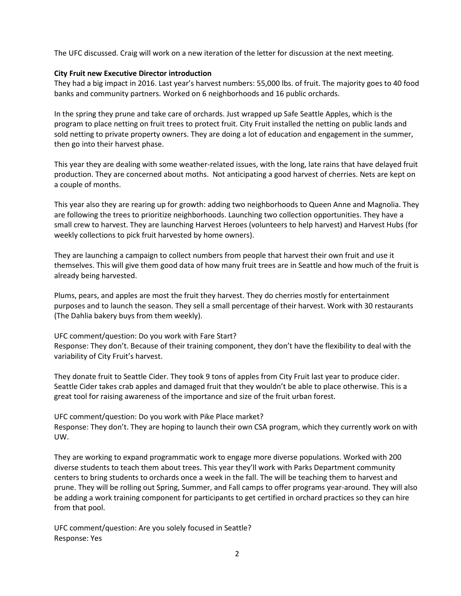The UFC discussed. Craig will work on a new iteration of the letter for discussion at the next meeting.

### **City Fruit new Executive Director introduction**

They had a big impact in 2016. Last year's harvest numbers: 55,000 lbs. of fruit. The majority goes to 40 food banks and community partners. Worked on 6 neighborhoods and 16 public orchards.

In the spring they prune and take care of orchards. Just wrapped up Safe Seattle Apples, which is the program to place netting on fruit trees to protect fruit. City Fruit installed the netting on public lands and sold netting to private property owners. They are doing a lot of education and engagement in the summer, then go into their harvest phase.

This year they are dealing with some weather-related issues, with the long, late rains that have delayed fruit production. They are concerned about moths. Not anticipating a good harvest of cherries. Nets are kept on a couple of months.

This year also they are rearing up for growth: adding two neighborhoods to Queen Anne and Magnolia. They are following the trees to prioritize neighborhoods. Launching two collection opportunities. They have a small crew to harvest. They are launching Harvest Heroes (volunteers to help harvest) and Harvest Hubs (for weekly collections to pick fruit harvested by home owners).

They are launching a campaign to collect numbers from people that harvest their own fruit and use it themselves. This will give them good data of how many fruit trees are in Seattle and how much of the fruit is already being harvested.

Plums, pears, and apples are most the fruit they harvest. They do cherries mostly for entertainment purposes and to launch the season. They sell a small percentage of their harvest. Work with 30 restaurants (The Dahlia bakery buys from them weekly).

UFC comment/question: Do you work with Fare Start?

Response: They don't. Because of their training component, they don't have the flexibility to deal with the variability of City Fruit's harvest.

They donate fruit to Seattle Cider. They took 9 tons of apples from City Fruit last year to produce cider. Seattle Cider takes crab apples and damaged fruit that they wouldn't be able to place otherwise. This is a great tool for raising awareness of the importance and size of the fruit urban forest.

UFC comment/question: Do you work with Pike Place market? Response: They don't. They are hoping to launch their own CSA program, which they currently work on with UW.

They are working to expand programmatic work to engage more diverse populations. Worked with 200 diverse students to teach them about trees. This year they'll work with Parks Department community centers to bring students to orchards once a week in the fall. The will be teaching them to harvest and prune. They will be rolling out Spring, Summer, and Fall camps to offer programs year-around. They will also be adding a work training component for participants to get certified in orchard practices so they can hire from that pool.

UFC comment/question: Are you solely focused in Seattle? Response: Yes